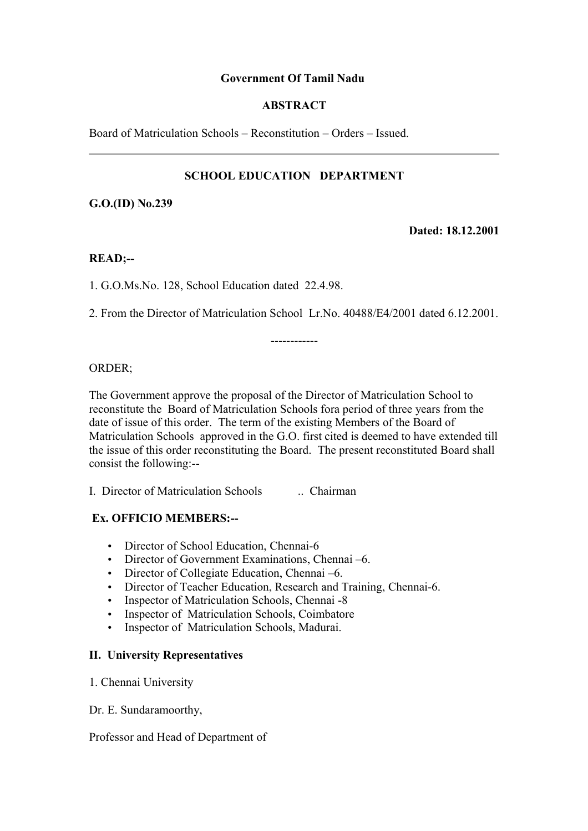# **Government Of Tamil Nadu**

## **ABSTRACT**

Board of Matriculation Schools – Reconstitution – Orders – Issued.

# **SCHOOL EDUCATION DEPARTMENT**

**G.O.(ID) No.239**

**Dated: 18.12.2001**

#### **READ;--**

1. G.O.Ms.No. 128, School Education dated 22.4.98.

2. From the Director of Matriculation School Lr.No. 40488/E4/2001 dated 6.12.2001.

------------

#### ORDER;

The Government approve the proposal of the Director of Matriculation School to reconstitute the Board of Matriculation Schools fora period of three years from the date of issue of this order. The term of the existing Members of the Board of Matriculation Schools approved in the G.O. first cited is deemed to have extended till the issue of this order reconstituting the Board. The present reconstituted Board shall consist the following:--

I. Director of Matriculation Schools .. Chairman

# **Ex. OFFICIO MEMBERS:--**

- Director of School Education, Chennai-6
- Director of Government Examinations, Chennai –6.
- Director of Collegiate Education, Chennai –6.
- Director of Teacher Education, Research and Training, Chennai-6.
- Inspector of Matriculation Schools, Chennai -8
- Inspector of Matriculation Schools, Coimbatore
- Inspector of Matriculation Schools, Madurai.

## **II. University Representatives**

- 1. Chennai University
- Dr. E. Sundaramoorthy,

#### Professor and Head of Department of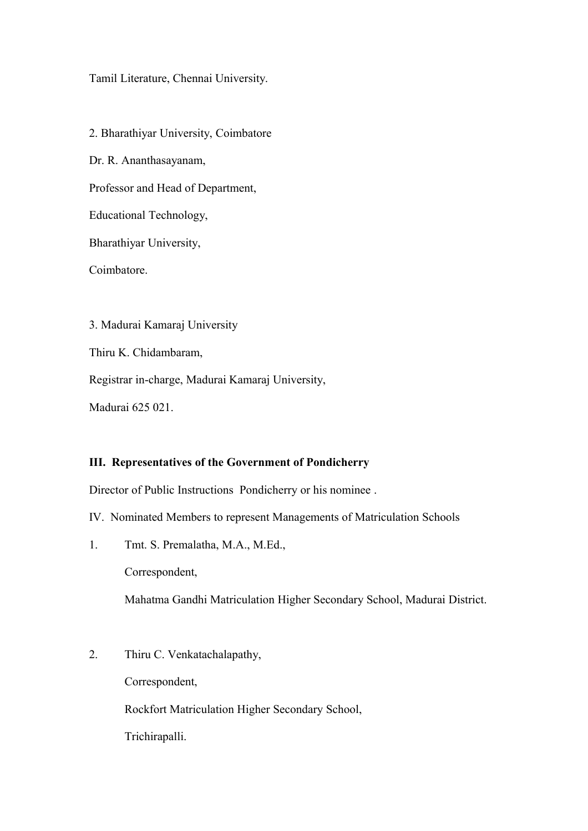## Tamil Literature, Chennai University.

2. Bharathiyar University, Coimbatore Dr. R. Ananthasayanam, Professor and Head of Department, Educational Technology, Bharathiyar University, Coimbatore. 3. Madurai Kamaraj University

Thiru K. Chidambaram,

Registrar in-charge, Madurai Kamaraj University,

Madurai 625 021.

### **III. Representatives of the Government of Pondicherry**

Director of Public Instructions Pondicherry or his nominee .

IV. Nominated Members to represent Managements of Matriculation Schools

1. Tmt. S. Premalatha, M.A., M.Ed.,

Correspondent,

Mahatma Gandhi Matriculation Higher Secondary School, Madurai District.

2. Thiru C. Venkatachalapathy,

Correspondent,

Rockfort Matriculation Higher Secondary School,

Trichirapalli.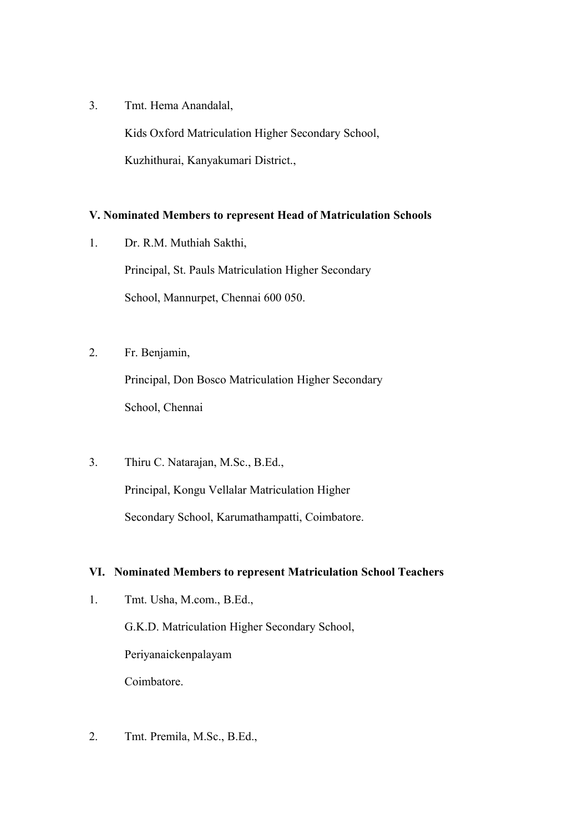3. Tmt. Hema Anandalal,

 Kids Oxford Matriculation Higher Secondary School, Kuzhithurai, Kanyakumari District.,

# **V. Nominated Members to represent Head of Matriculation Schools**

1. Dr. R.M. Muthiah Sakthi,

 Principal, St. Pauls Matriculation Higher Secondary School, Mannurpet, Chennai 600 050.

2. Fr. Benjamin,

 Principal, Don Bosco Matriculation Higher Secondary School, Chennai

3. Thiru C. Natarajan, M.Sc., B.Ed., Principal, Kongu Vellalar Matriculation Higher Secondary School, Karumathampatti, Coimbatore.

### **VI. Nominated Members to represent Matriculation School Teachers**

1. Tmt. Usha, M.com., B.Ed.,

 G.K.D. Matriculation Higher Secondary School, Periyanaickenpalayam Coimbatore.

2. Tmt. Premila, M.Sc., B.Ed.,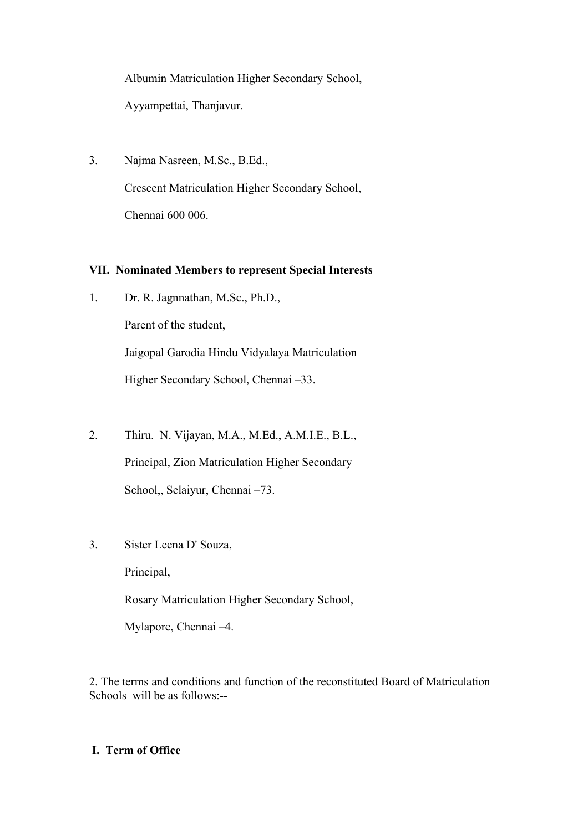Albumin Matriculation Higher Secondary School, Ayyampettai, Thanjavur.

3. Najma Nasreen, M.Sc., B.Ed., Crescent Matriculation Higher Secondary School, Chennai 600 006.

# **VII. Nominated Members to represent Special Interests**

- 1. Dr. R. Jagnnathan, M.Sc., Ph.D., Parent of the student, Jaigopal Garodia Hindu Vidyalaya Matriculation Higher Secondary School, Chennai –33.
- 2. Thiru. N. Vijayan, M.A., M.Ed., A.M.I.E., B.L., Principal, Zion Matriculation Higher Secondary School,, Selaiyur, Chennai –73.
- 3. Sister Leena D' Souza,

Principal,

Rosary Matriculation Higher Secondary School,

Mylapore, Chennai –4.

2. The terms and conditions and function of the reconstituted Board of Matriculation Schools will be as follows:--

# **I. Term of Office**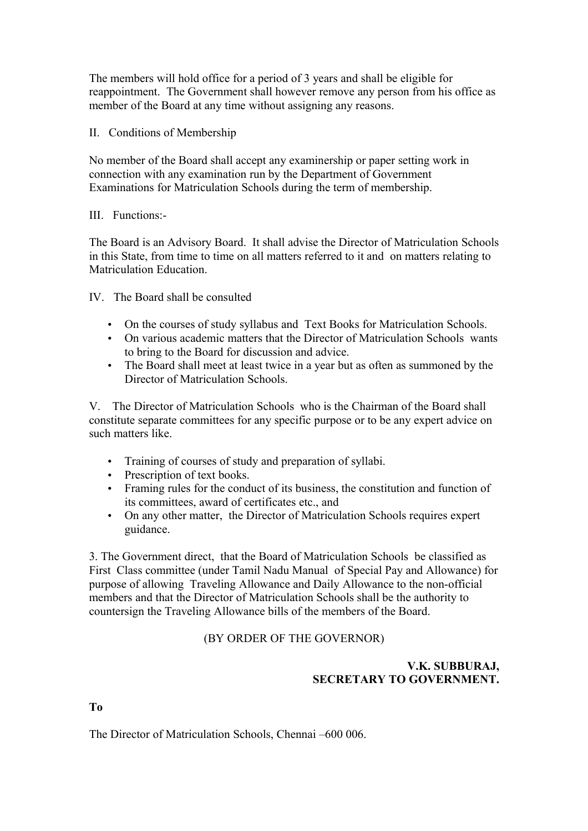The members will hold office for a period of 3 years and shall be eligible for reappointment. The Government shall however remove any person from his office as member of the Board at any time without assigning any reasons.

## II. Conditions of Membership

No member of the Board shall accept any examinership or paper setting work in connection with any examination run by the Department of Government Examinations for Matriculation Schools during the term of membership.

### III. Functions:-

The Board is an Advisory Board. It shall advise the Director of Matriculation Schools in this State, from time to time on all matters referred to it and on matters relating to Matriculation Education.

IV. The Board shall be consulted

- On the courses of study syllabus and Text Books for Matriculation Schools.
- On various academic matters that the Director of Matriculation Schools wants to bring to the Board for discussion and advice.
- The Board shall meet at least twice in a year but as often as summoned by the Director of Matriculation Schools.

V. The Director of Matriculation Schools who is the Chairman of the Board shall constitute separate committees for any specific purpose or to be any expert advice on such matters like.

- Training of courses of study and preparation of syllabi.
- Prescription of text books.
- Framing rules for the conduct of its business, the constitution and function of its committees, award of certificates etc., and
- On any other matter, the Director of Matriculation Schools requires expert guidance.

3. The Government direct, that the Board of Matriculation Schools be classified as First Class committee (under Tamil Nadu Manual of Special Pay and Allowance) for purpose of allowing Traveling Allowance and Daily Allowance to the non-official members and that the Director of Matriculation Schools shall be the authority to countersign the Traveling Allowance bills of the members of the Board.

(BY ORDER OF THE GOVERNOR)

# **V.K. SUBBURAJ, SECRETARY TO GOVERNMENT.**

**To**

The Director of Matriculation Schools, Chennai –600 006.